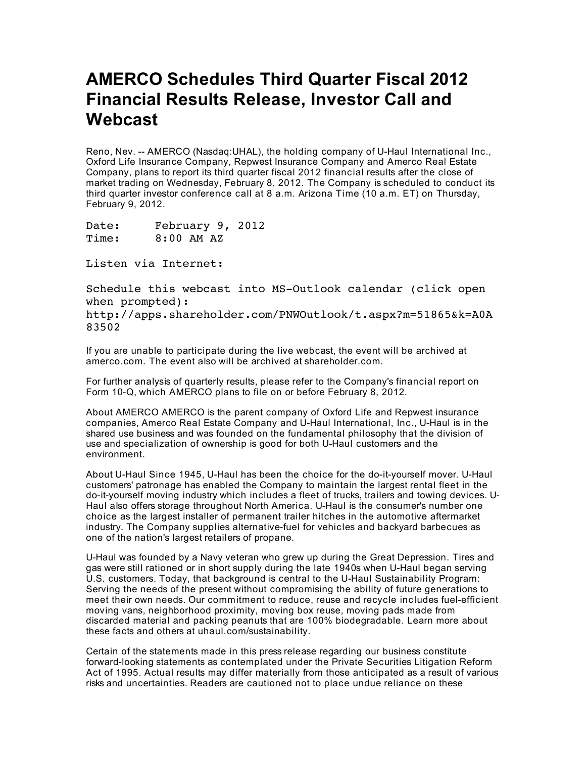## **AMERCO Schedules Third Quarter Fiscal 2012 Financial Results Release, Investor Call and Webcast**

Reno, Nev. -- AMERCO (Nasdaq:UHAL), the holding company of U-Haul International Inc., Oxford Life Insurance Company, Repwest Insurance Company and Amerco Real Estate Company, plans to report its third quarter fiscal 2012 financial results after the close of market trading on Wednesday, February 8, 2012. The Company is scheduled to conduct its third quarter investor conference call at 8 a.m. Arizona Time (10 a.m. ET) on Thursday, February 9, 2012.

Date: February 9, 2012 Time: 8:00 AM AZ

Listen via Internet:

Schedule this webcast into MS-Outlook calendar (click open when prompted):

http://apps.shareholder.com/PNWOutlook/t.aspx?m=51865&k=A0A 83502

If you are unable to participate during the live webcast, the event will be archived at amerco.com. The event also will be archived at shareholder.com.

For further analysis of quarterly results, please refer to the Company's financial report on Form 10-Q, which AMERCO plans to file on or before February 8, 2012.

About AMERCO AMERCO is the parent company of Oxford Life and Repwest insurance companies, Amerco Real Estate Company and U-Haul International, Inc., U-Haul is in the shared use business and was founded on the fundamental philosophy that the division of use and specialization of ownership is good for both U-Haul customers and the environment.

About U-Haul Since 1945, U-Haul has been the choice for the do-it-yourself mover. U-Haul customers' patronage has enabled the Company to maintain the largest rental fleet in the do-it-yourself moving industry which includes a fleet of trucks, trailers and towing devices. U-Haul also offers storage throughout North America. U-Haul is the consumer's number one choice as the largest installer of permanent trailer hitches in the automotive aftermarket industry. The Company supplies alternative-fuel for vehicles and backyard barbecues as one of the nation's largest retailers of propane.

U-Haul was founded by a Navy veteran who grew up during the Great Depression. Tires and gas were still rationed or in short supply during the late 1940s when U-Haul began serving U.S. customers. Today, that background is central to the U-Haul Sustainability Program: Serving the needs of the present without compromising the ability of future generations to meet their own needs. Our commitment to reduce, reuse and recycle includes fuel-efficient moving vans, neighborhood proximity, moving box reuse, moving pads made from discarded material and packing peanuts that are 100% biodegradable. Learn more about these facts and others at uhaul.com/sustainability.

Certain of the statements made in this press release regarding our business constitute forward-looking statements as contemplated under the Private Securities Litigation Reform Act of 1995. Actual results may differ materially from those anticipated as a result of various risks and uncertainties. Readers are cautioned not to place undue reliance on these